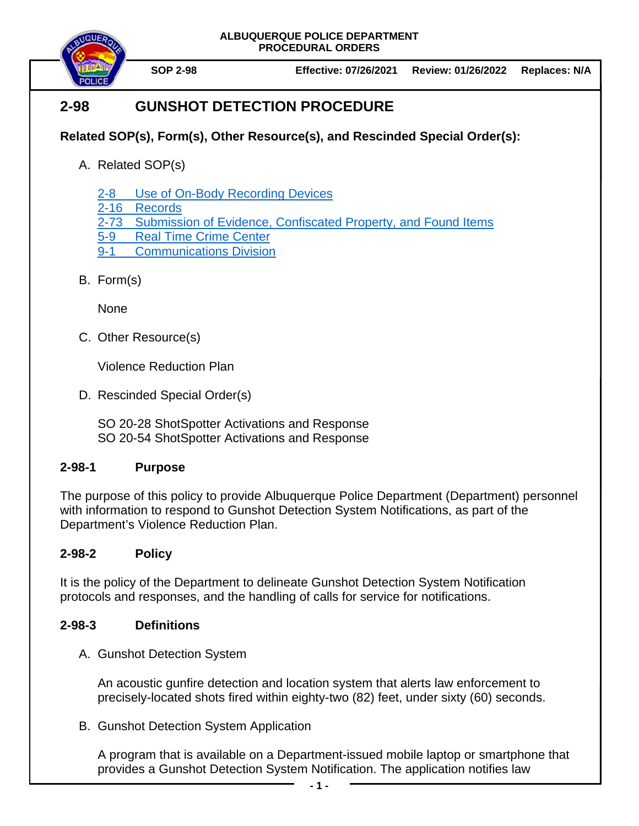



# **2-98 GUNSHOT DETECTION PROCEDURE**

## **Related SOP(s), Form(s), Other Resource(s), and Rescinded Special Order(s):**

A. Related SOP(s)

[2-8 Use of On-Body Recording Devices](https://powerdms.com/docs/1137)

- 2-16 [Records](https://powerdms.com/docs/19)
- 2-73 [Submission of Evidence, Confiscated Property, and Found Items](https://powerdms.com/docs/88)
- 5-9 [Real Time Crime Center](https://powerdms.com/docs/941)
- 9-1 [Communications Division](https://powerdms.com/docs/324739)
- B. Form(s)

**None** 

C. Other Resource(s)

Violence Reduction Plan

D. Rescinded Special Order(s)

SO 20-28 ShotSpotter Activations and Response SO 20-54 ShotSpotter Activations and Response

### **2-98-1 Purpose**

The purpose of this policy to provide Albuquerque Police Department (Department) personnel with information to respond to Gunshot Detection System Notifications, as part of the Department's Violence Reduction Plan.

## **2-98-2 Policy**

It is the policy of the Department to delineate Gunshot Detection System Notification protocols and responses, and the handling of calls for service for notifications.

### **2-98-3 Definitions**

A. Gunshot Detection System

An acoustic gunfire detection and location system that alerts law enforcement to precisely-located shots fired within eighty-two (82) feet, under sixty (60) seconds.

B. Gunshot Detection System Application

A program that is available on a Department-issued mobile laptop or smartphone that provides a Gunshot Detection System Notification. The application notifies law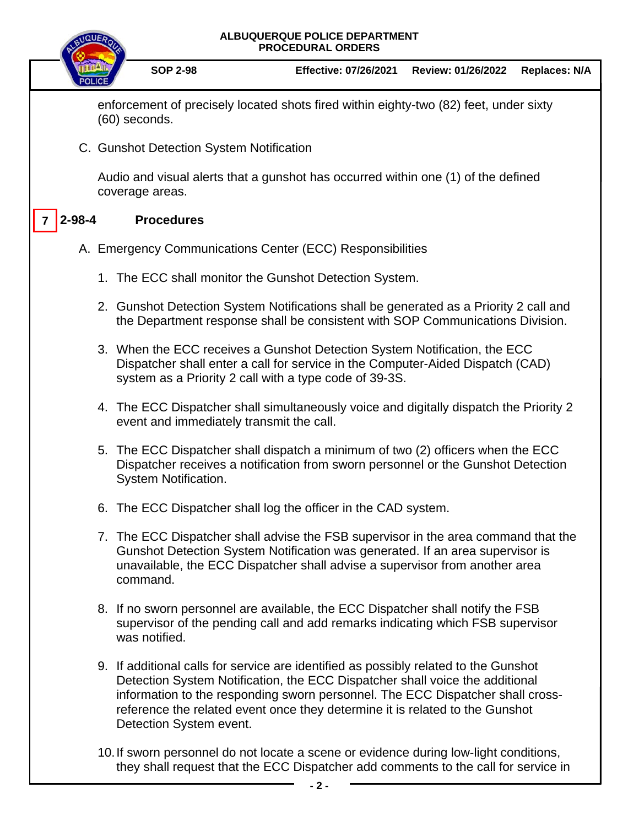

they shall request that the ECC Dispatcher add comments to the call for service in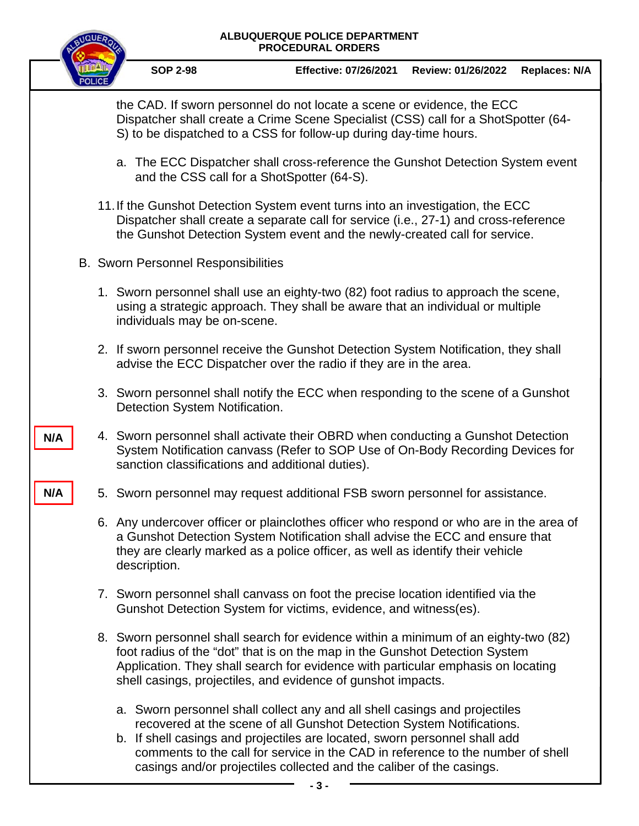#### **ALBUQUERQUE POLICE DEPARTMENT PROCEDURAL ORDERS**

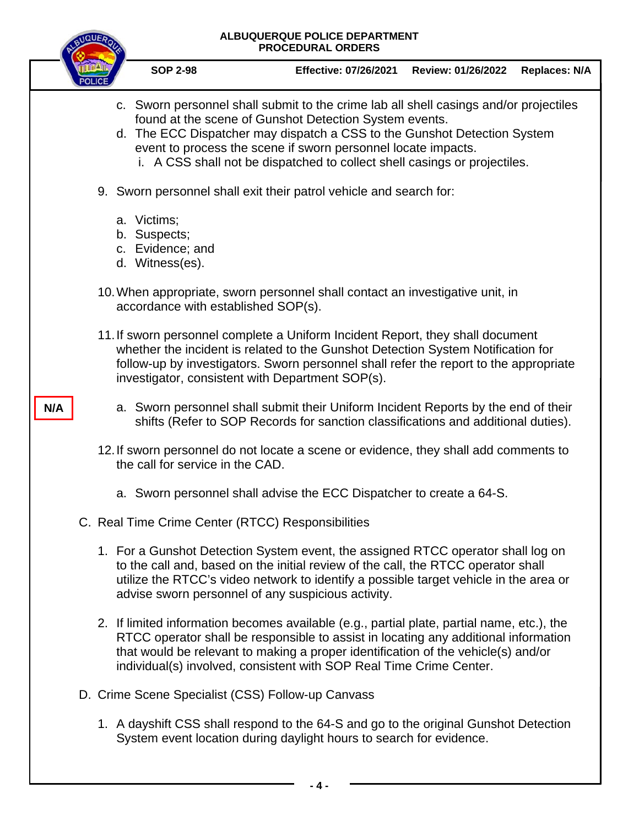#### **ALBUQUERQUE POLICE DEPARTMENT PROCEDURAL ORDERS**